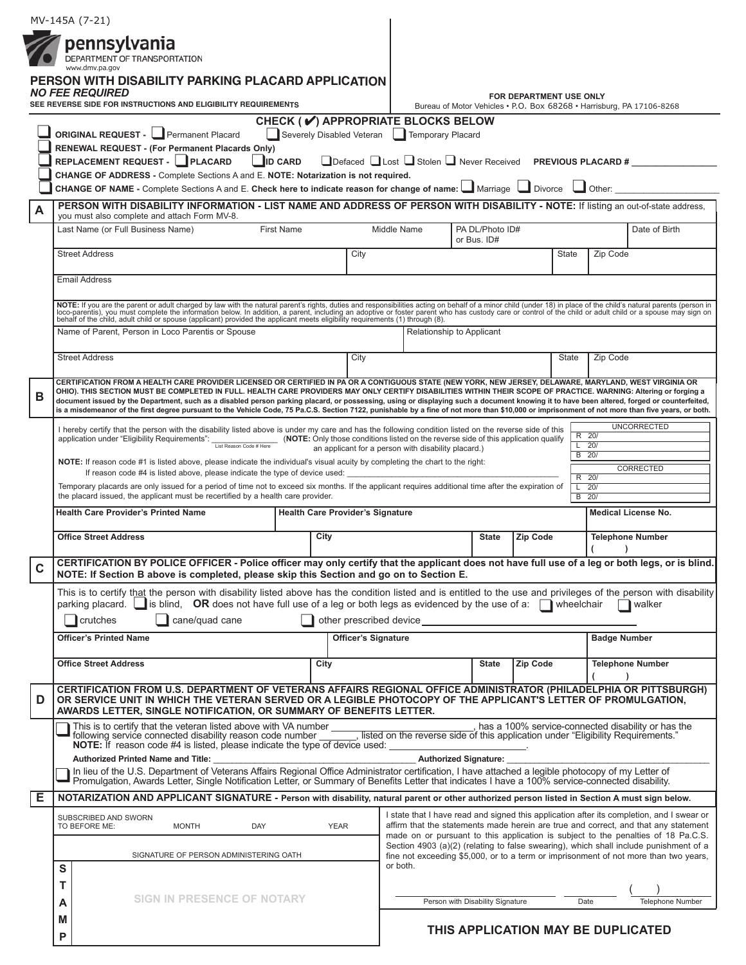|   |                                                                                                                                                                                                                                                                                                                                                                                                                                                                        | MV-145A (7-21)                                                                                                                                                                                                                                                                                                                                                                                 |                                                                                                                                                                                                                                                                       |                           |                                                                                     |  |                          |                                                                                                                                                                               |                          |                                          |                     |  |
|---|------------------------------------------------------------------------------------------------------------------------------------------------------------------------------------------------------------------------------------------------------------------------------------------------------------------------------------------------------------------------------------------------------------------------------------------------------------------------|------------------------------------------------------------------------------------------------------------------------------------------------------------------------------------------------------------------------------------------------------------------------------------------------------------------------------------------------------------------------------------------------|-----------------------------------------------------------------------------------------------------------------------------------------------------------------------------------------------------------------------------------------------------------------------|---------------------------|-------------------------------------------------------------------------------------|--|--------------------------|-------------------------------------------------------------------------------------------------------------------------------------------------------------------------------|--------------------------|------------------------------------------|---------------------|--|
|   |                                                                                                                                                                                                                                                                                                                                                                                                                                                                        | pennsylvania<br>DEPARTMENT OF TRANSPORTATION                                                                                                                                                                                                                                                                                                                                                   |                                                                                                                                                                                                                                                                       |                           |                                                                                     |  |                          |                                                                                                                                                                               |                          |                                          |                     |  |
|   |                                                                                                                                                                                                                                                                                                                                                                                                                                                                        | www.dmv.pa.gov<br>PERSON WITH DISABILITY PARKING PLACARD APPLICATION                                                                                                                                                                                                                                                                                                                           |                                                                                                                                                                                                                                                                       |                           |                                                                                     |  |                          |                                                                                                                                                                               |                          |                                          |                     |  |
|   |                                                                                                                                                                                                                                                                                                                                                                                                                                                                        | <b>NO FEE REQUIRED</b><br>SEE REVERSE SIDE FOR INSTRUCTIONS AND ELIGIBILITY REQUIREMENTS                                                                                                                                                                                                                                                                                                       | FOR DEPARTMENT USE ONLY<br>Bureau of Motor Vehicles . P.O. Box 68268 . Harrisburg, PA 17106-8268                                                                                                                                                                      |                           |                                                                                     |  |                          |                                                                                                                                                                               |                          |                                          |                     |  |
|   |                                                                                                                                                                                                                                                                                                                                                                                                                                                                        | ORIGINAL REQUEST - Permanent Placard                                                                                                                                                                                                                                                                                                                                                           |                                                                                                                                                                                                                                                                       |                           | CHECK (√) APPROPRIATE BLOCKS BELOW                                                  |  |                          |                                                                                                                                                                               |                          |                                          |                     |  |
|   | Severely Disabled Veteran   Temporary Placard<br><b>RENEWAL REQUEST - (For Permanent Placards Only)</b><br>REPLACEMENT REQUEST - PLACARD<br>□Defaced □ Lost □ Stolen □ Never Received PREVIOUS PLACARD #<br>$\blacksquare$ ID CARD<br>CHANGE OF ADDRESS - Complete Sections A and E. NOTE: Notarization is not required.<br>CHANGE OF NAME - Complete Sections A and E. Check here to indicate reason for change of name: $\Box$ Marriage $\Box$ Divorce $\Box$ Other: |                                                                                                                                                                                                                                                                                                                                                                                                |                                                                                                                                                                                                                                                                       |                           |                                                                                     |  |                          |                                                                                                                                                                               |                          |                                          |                     |  |
|   |                                                                                                                                                                                                                                                                                                                                                                                                                                                                        |                                                                                                                                                                                                                                                                                                                                                                                                |                                                                                                                                                                                                                                                                       |                           |                                                                                     |  |                          |                                                                                                                                                                               |                          |                                          |                     |  |
|   |                                                                                                                                                                                                                                                                                                                                                                                                                                                                        |                                                                                                                                                                                                                                                                                                                                                                                                |                                                                                                                                                                                                                                                                       |                           |                                                                                     |  |                          |                                                                                                                                                                               |                          |                                          |                     |  |
| A |                                                                                                                                                                                                                                                                                                                                                                                                                                                                        | PERSON WITH DISABILITY INFORMATION - LIST NAME AND ADDRESS OF PERSON WITH DISABILITY - NOTE: If listing an out-of-state address,<br>you must also complete and attach Form MV-8.                                                                                                                                                                                                               |                                                                                                                                                                                                                                                                       |                           |                                                                                     |  |                          |                                                                                                                                                                               |                          |                                          |                     |  |
|   |                                                                                                                                                                                                                                                                                                                                                                                                                                                                        | Last Name (or Full Business Name)<br>First Name                                                                                                                                                                                                                                                                                                                                                |                                                                                                                                                                                                                                                                       |                           | PA DL/Photo ID#<br>Middle Name<br>or Bus. ID#                                       |  |                          |                                                                                                                                                                               |                          |                                          | Date of Birth       |  |
|   |                                                                                                                                                                                                                                                                                                                                                                                                                                                                        | <b>Street Address</b>                                                                                                                                                                                                                                                                                                                                                                          |                                                                                                                                                                                                                                                                       | City                      |                                                                                     |  |                          |                                                                                                                                                                               | <b>State</b><br>Zip Code |                                          |                     |  |
|   | <b>Email Address</b>                                                                                                                                                                                                                                                                                                                                                                                                                                                   |                                                                                                                                                                                                                                                                                                                                                                                                |                                                                                                                                                                                                                                                                       |                           |                                                                                     |  |                          |                                                                                                                                                                               |                          |                                          |                     |  |
|   |                                                                                                                                                                                                                                                                                                                                                                                                                                                                        | NOTE: If you are the parent or adult charged by law with the natural parent's rights, duties and responsibilities acting on behalf of a minor child (under 18) in place of the child's natural parents (person in loco-parenti                                                                                                                                                                 |                                                                                                                                                                                                                                                                       |                           |                                                                                     |  |                          |                                                                                                                                                                               |                          |                                          |                     |  |
|   |                                                                                                                                                                                                                                                                                                                                                                                                                                                                        | Name of Parent, Person in Loco Parentis or Spouse                                                                                                                                                                                                                                                                                                                                              |                                                                                                                                                                                                                                                                       | Relationship to Applicant |                                                                                     |  |                          |                                                                                                                                                                               |                          |                                          |                     |  |
|   |                                                                                                                                                                                                                                                                                                                                                                                                                                                                        |                                                                                                                                                                                                                                                                                                                                                                                                |                                                                                                                                                                                                                                                                       |                           |                                                                                     |  |                          |                                                                                                                                                                               |                          |                                          |                     |  |
|   |                                                                                                                                                                                                                                                                                                                                                                                                                                                                        | <b>Street Address</b>                                                                                                                                                                                                                                                                                                                                                                          |                                                                                                                                                                                                                                                                       | City                      |                                                                                     |  |                          |                                                                                                                                                                               | State                    | Zip Code                                 |                     |  |
| в |                                                                                                                                                                                                                                                                                                                                                                                                                                                                        | CERTIFICATION FROM A HEALTH CARE PROVIDER LICENSED OR CERTIFIED IN PA OR A CONTIGUOUS STATE (NEW YORK, NEW JERSEY, DELAWARE, MARYLAND, WEST VIRGINIA OR<br>OHIO). THIS SECTION MUST BE COMPLETED IN FULL. HEALTH CARE PROVIDERS MAY ONLY CERTIFY DISABILITIES WITHIN THEIR SCOPE OF PRACTICE. WARNING: Altering or forging a                                                                   |                                                                                                                                                                                                                                                                       |                           |                                                                                     |  |                          |                                                                                                                                                                               |                          |                                          |                     |  |
|   |                                                                                                                                                                                                                                                                                                                                                                                                                                                                        | document issued by the Department, such as a disabled person parking placard, or possessing, using or displaying such a document knowing it to have been altered, forged or counterfeited,<br>is a misdemeanor of the first degree pursuant to the Vehicle Code, 75 Pa.C.S. Section 7122, punishable by a fine of not more than \$10,000 or imprisonment of not more than five years, or both. |                                                                                                                                                                                                                                                                       |                           |                                                                                     |  |                          |                                                                                                                                                                               |                          |                                          |                     |  |
|   |                                                                                                                                                                                                                                                                                                                                                                                                                                                                        | I hereby certify that the person with the disability listed above is under my care and has the following condition listed on the reverse side of this<br>Thereby Certify that the present requirements": List Reason Code # Here                                                                                                                                                               |                                                                                                                                                                                                                                                                       |                           | (NOTE: Only those conditions listed on the reverse side of this application qualify |  |                          |                                                                                                                                                                               |                          | R 20/                                    | <b>UNCORRECTED</b>  |  |
|   |                                                                                                                                                                                                                                                                                                                                                                                                                                                                        |                                                                                                                                                                                                                                                                                                                                                                                                |                                                                                                                                                                                                                                                                       |                           | an applicant for a person with disability placard.)                                 |  |                          |                                                                                                                                                                               |                          | $L$ 20/<br>B 20/                         |                     |  |
|   | NOTE: If reason code #1 is listed above, please indicate the individual's visual acuity by completing the chart to the right:<br>If reason code #4 is listed above, please indicate the type of device used:                                                                                                                                                                                                                                                           |                                                                                                                                                                                                                                                                                                                                                                                                |                                                                                                                                                                                                                                                                       |                           |                                                                                     |  |                          |                                                                                                                                                                               |                          | <b>CORRECTED</b><br>R 20/                |                     |  |
|   |                                                                                                                                                                                                                                                                                                                                                                                                                                                                        | Temporary placards are only issued for a period of time not to exceed six months. If the applicant requires additional time after the expiration of<br>the placard issued, the applicant must be recertified by a health care provider.                                                                                                                                                        | τ<br>B 20/                                                                                                                                                                                                                                                            |                           |                                                                                     |  |                          | 20/                                                                                                                                                                           |                          |                                          |                     |  |
|   |                                                                                                                                                                                                                                                                                                                                                                                                                                                                        | <b>Health Care Provider's Printed Name</b>                                                                                                                                                                                                                                                                                                                                                     | <b>Health Care Provider's Signature</b>                                                                                                                                                                                                                               |                           |                                                                                     |  |                          |                                                                                                                                                                               |                          | <b>Medical License No.</b>               |                     |  |
|   |                                                                                                                                                                                                                                                                                                                                                                                                                                                                        | <b>Office Street Address</b><br>City                                                                                                                                                                                                                                                                                                                                                           |                                                                                                                                                                                                                                                                       |                           |                                                                                     |  |                          | <b>State</b><br><b>Zip Code</b>                                                                                                                                               |                          | <b>Telephone Number</b><br>$\rightarrow$ |                     |  |
| C |                                                                                                                                                                                                                                                                                                                                                                                                                                                                        | CERTIFICATION BY POLICE OFFICER - Police officer may only certify that the applicant does not have full use of a leg or both legs, or is blind.<br>NOTE: If Section B above is completed, please skip this Section and go on to Section E.                                                                                                                                                     |                                                                                                                                                                                                                                                                       |                           |                                                                                     |  |                          |                                                                                                                                                                               |                          |                                          |                     |  |
|   |                                                                                                                                                                                                                                                                                                                                                                                                                                                                        | This is to certify that the person with disability listed above has the condition listed and is entitled to the use and privileges of the person with disability                                                                                                                                                                                                                               |                                                                                                                                                                                                                                                                       |                           |                                                                                     |  |                          |                                                                                                                                                                               |                          |                                          |                     |  |
|   | parking placard. $\Box$ is blind, OR does not have full use of a leg or both legs as evidenced by the use of a: $\Box$ wheelchair<br>walker<br>crutches<br>cane/quad cane<br>other prescribed device                                                                                                                                                                                                                                                                   |                                                                                                                                                                                                                                                                                                                                                                                                |                                                                                                                                                                                                                                                                       |                           |                                                                                     |  |                          |                                                                                                                                                                               |                          |                                          |                     |  |
|   |                                                                                                                                                                                                                                                                                                                                                                                                                                                                        | <b>Officer's Printed Name</b><br><b>Officer's Signature</b>                                                                                                                                                                                                                                                                                                                                    |                                                                                                                                                                                                                                                                       |                           |                                                                                     |  |                          |                                                                                                                                                                               |                          |                                          | <b>Badge Number</b> |  |
|   | <b>Office Street Address</b>                                                                                                                                                                                                                                                                                                                                                                                                                                           |                                                                                                                                                                                                                                                                                                                                                                                                |                                                                                                                                                                                                                                                                       | City                      |                                                                                     |  | Zip Code<br><b>State</b> |                                                                                                                                                                               |                          | <b>Telephone Number</b>                  |                     |  |
|   |                                                                                                                                                                                                                                                                                                                                                                                                                                                                        |                                                                                                                                                                                                                                                                                                                                                                                                |                                                                                                                                                                                                                                                                       |                           |                                                                                     |  |                          |                                                                                                                                                                               |                          | $\lambda$                                |                     |  |
| D |                                                                                                                                                                                                                                                                                                                                                                                                                                                                        | CERTIFICATION FROM U.S. DEPARTMENT OF VETERANS AFFAIRS REGIONAL OFFICE ADMINISTRATOR (PHILADELPHIA OR PITTSBURGH)<br>OR SERVICE UNIT IN WHICH THE VETERAN SERVED OR A LEGIBLE PHOTOCOPY OF THE APPLICANT'S LETTER OF PROMULGATION,<br>AWARDS LETTER, SINGLE NOTIFICATION, OR SUMMARY OF BENEFITS LETTER.                                                                                       |                                                                                                                                                                                                                                                                       |                           |                                                                                     |  |                          |                                                                                                                                                                               |                          |                                          |                     |  |
|   |                                                                                                                                                                                                                                                                                                                                                                                                                                                                        | This is to certify that the veteran listed above with VA number ________, listed on the reverse side of this application under "Eligibility Requirements."<br>, has a 100% service-connected disability or has the                                                                                                                                                                             |                                                                                                                                                                                                                                                                       |                           |                                                                                     |  |                          |                                                                                                                                                                               |                          |                                          |                     |  |
|   | <b>Authorized Signature:</b><br>Authorized Printed Name and Title:                                                                                                                                                                                                                                                                                                                                                                                                     |                                                                                                                                                                                                                                                                                                                                                                                                |                                                                                                                                                                                                                                                                       |                           |                                                                                     |  |                          |                                                                                                                                                                               |                          |                                          |                     |  |
|   | In lieu of the U.S. Department of Veterans Affairs Regional Office Administrator certification, I have attached a legible photocopy of my Letter of<br>Promulgation, Awards Letter, Single Notification Letter, or Summary of Benefits Letter that indicates I have a 100% service-connected disability.                                                                                                                                                               |                                                                                                                                                                                                                                                                                                                                                                                                |                                                                                                                                                                                                                                                                       |                           |                                                                                     |  |                          |                                                                                                                                                                               |                          |                                          |                     |  |
| Е | NOTARIZATION AND APPLICANT SIGNATURE - Person with disability, natural parent or other authorized person listed in Section A must sign below.                                                                                                                                                                                                                                                                                                                          |                                                                                                                                                                                                                                                                                                                                                                                                |                                                                                                                                                                                                                                                                       |                           |                                                                                     |  |                          |                                                                                                                                                                               |                          |                                          |                     |  |
|   |                                                                                                                                                                                                                                                                                                                                                                                                                                                                        | SUBSCRIBED AND SWORN<br>TO BEFORE ME:<br><b>MONTH</b><br>DAY                                                                                                                                                                                                                                                                                                                                   | I state that I have read and signed this application after its completion, and I swear or<br>affirm that the statements made herein are true and correct, and that any statement<br>made on or pursuant to this application is subject to the penalties of 18 Pa.C.S. |                           |                                                                                     |  |                          |                                                                                                                                                                               |                          |                                          |                     |  |
|   | SIGNATURE OF PERSON ADMINISTERING OATH<br>or both.<br>S                                                                                                                                                                                                                                                                                                                                                                                                                |                                                                                                                                                                                                                                                                                                                                                                                                |                                                                                                                                                                                                                                                                       |                           |                                                                                     |  |                          | Section 4903 (a)(2) (relating to false swearing), which shall include punishment of a<br>fine not exceeding \$5,000, or to a term or imprisonment of not more than two years, |                          |                                          |                     |  |
|   |                                                                                                                                                                                                                                                                                                                                                                                                                                                                        |                                                                                                                                                                                                                                                                                                                                                                                                |                                                                                                                                                                                                                                                                       |                           |                                                                                     |  |                          |                                                                                                                                                                               |                          |                                          |                     |  |
|   | т                                                                                                                                                                                                                                                                                                                                                                                                                                                                      | <b>SIGN IN PRESENCE OF NOTARY</b>                                                                                                                                                                                                                                                                                                                                                              |                                                                                                                                                                                                                                                                       |                           |                                                                                     |  |                          |                                                                                                                                                                               |                          |                                          |                     |  |
|   | Person with Disability Signature<br>Date<br>Α                                                                                                                                                                                                                                                                                                                                                                                                                          |                                                                                                                                                                                                                                                                                                                                                                                                |                                                                                                                                                                                                                                                                       |                           |                                                                                     |  |                          | <b>Telephone Number</b>                                                                                                                                                       |                          |                                          |                     |  |
|   | P                                                                                                                                                                                                                                                                                                                                                                                                                                                                      | M<br>THIS APPLICATION MAY BE DUPLICATED                                                                                                                                                                                                                                                                                                                                                        |                                                                                                                                                                                                                                                                       |                           |                                                                                     |  |                          |                                                                                                                                                                               |                          |                                          |                     |  |